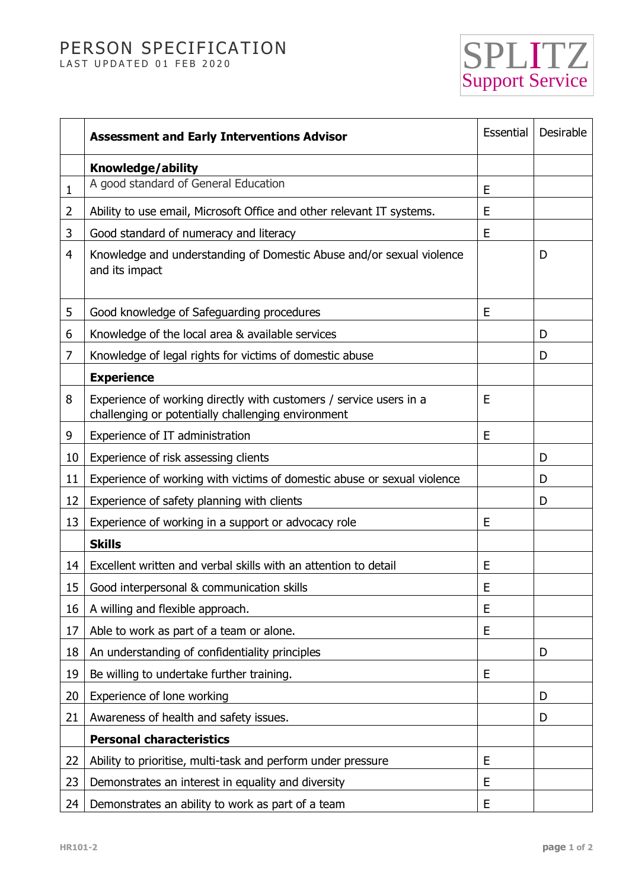## PERSON SPECIFICATION LAST UPDATED 01 FEB 2020



|                | <b>Assessment and Early Interventions Advisor</b>                                                                        | Essential | Desirable |
|----------------|--------------------------------------------------------------------------------------------------------------------------|-----------|-----------|
|                | Knowledge/ability                                                                                                        |           |           |
| $\mathbf{1}$   | A good standard of General Education                                                                                     | E         |           |
| $\overline{2}$ | Ability to use email, Microsoft Office and other relevant IT systems.                                                    | E         |           |
| 3              | Good standard of numeracy and literacy                                                                                   | E         |           |
| 4              | Knowledge and understanding of Domestic Abuse and/or sexual violence<br>and its impact                                   |           | D         |
| 5              | Good knowledge of Safeguarding procedures                                                                                | E         |           |
| 6              | Knowledge of the local area & available services                                                                         |           | D         |
| 7              | Knowledge of legal rights for victims of domestic abuse                                                                  |           | D         |
|                | <b>Experience</b>                                                                                                        |           |           |
| 8              | Experience of working directly with customers / service users in a<br>challenging or potentially challenging environment | E         |           |
| 9              | Experience of IT administration                                                                                          | E         |           |
| 10             | Experience of risk assessing clients                                                                                     |           | D         |
| 11             | Experience of working with victims of domestic abuse or sexual violence                                                  |           | D         |
| 12             | Experience of safety planning with clients                                                                               |           | D         |
| 13             | Experience of working in a support or advocacy role                                                                      | E         |           |
|                | <b>Skills</b>                                                                                                            |           |           |
| 14             | Excellent written and verbal skills with an attention to detail                                                          | E         |           |
| 15             | Good interpersonal & communication skills                                                                                | E         |           |
| 16             | A willing and flexible approach.                                                                                         | E         |           |
| 17             | Able to work as part of a team or alone.                                                                                 | E         |           |
| 18             | An understanding of confidentiality principles                                                                           |           | D         |
| 19             | Be willing to undertake further training.                                                                                | E         |           |
| 20             | Experience of lone working                                                                                               |           | D         |
| 21             | Awareness of health and safety issues.                                                                                   |           | D         |
|                | <b>Personal characteristics</b>                                                                                          |           |           |
| 22             | Ability to prioritise, multi-task and perform under pressure                                                             | E         |           |
| 23             | Demonstrates an interest in equality and diversity                                                                       | E         |           |
| 24             | Demonstrates an ability to work as part of a team                                                                        | E         |           |